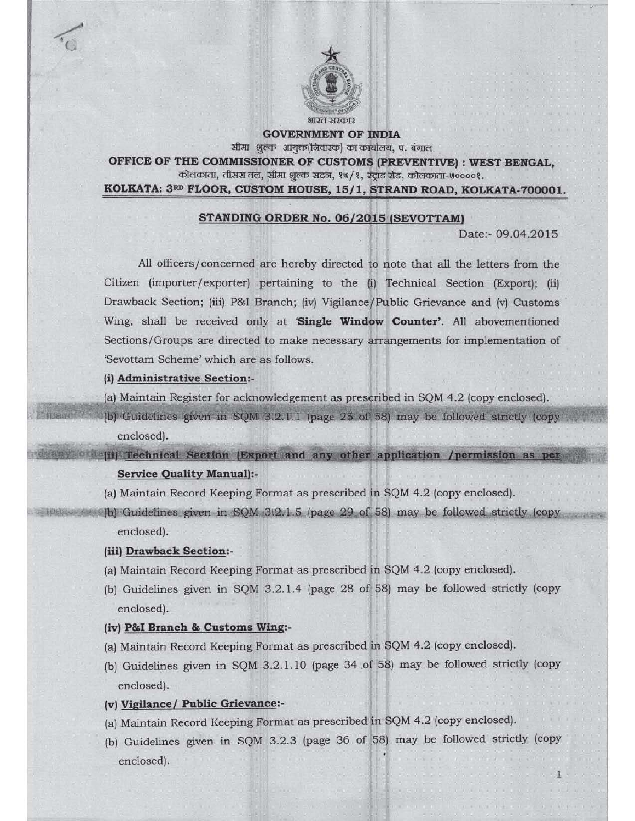

**GOVERNMENT OF INDIA** शीमा भूल्क आयुक्त(निवारक) का कार्यालय, प. बंगाल

OFFICE OF THE COMMISSIONER OF CUSTOMS (PREVENTIVE) : WEST BENGAL, कोलकाता, तीसरा तल, सीमा शुल्क सदन, १७/१, स्ट्रांड रोड, कोलकाता-७००००१.

KOLKATA: 3RD FLOOR, CUSTOM HOUSE, 15/1, STRAND ROAD, KOLKATA-700001.

## STANDING ORDER No. 06/2015 (SEVOTTAMI

Date:- 09.04.2015

1

All officers/concerned are hereby directed to note that all the letters from the Citizen (importer/exporter) pertaining to the  $(i)$  Technical Section (Export);  $(ii)$ Drawback Section; (iii) P&I Branch; (iv) Vigilance/ Public Grievance and (v) Customs Wing, shall be received only at 'Single Window Counter'. All abovementioned Sections/Groups are directed to make necessary arrangements for implementation of 'Sevottam Scheme' which are as follows.

#### (i) Administrative Section:-

**TIBOTH** 

- (a) Maintain Register for acknowledgement as prescribed in SQM 4.2 (copy enclosed).
- (b) Guidelines given in SQM 3.2.1.1 (page 25 of 58) may be followed strictly (copy enclosed).

 $i$  any  $o$  is  $j$  Technical Section (Export and any other application /permission as per Service Quality Manual):-

- (a) Maintain Record Keeping Format as prescribed in SQM 4.2 (copy enclosed).
- (a) Maintain Record Keeping Format as prescribed in SQM 4.2 (copy enclosed).<br>(b) Guidelines given in SQM 3.2.1.5 (page 29 of 58) may be followed strictly (copy Guidelines given in SQM 312.1.5 (page 29 of 58)<br>enclosed).

#### (iii) Drawback Section:-

- (a) Maintain Record Keeping Format as prescribed in SQM 4.2 (copy enclosed).
- (bl Guidelines given in SQM 3.2.1.4 (page 28 of 58) may be followed strictly (copy enclosed).

# (iv) P&I Branch & Customs Wing:-

- (a) Maintain Record Keeping Format as prescribed in SQM 4.2 (copy enclosed).
- (b) Guidelines given in SQM 3.2.1.10 (page 34 .of 58) may be followed strictly (copy enclosed).

## (v) Vigilance/ Public Grievance:-

- (al Maintain Record Keeping Format as prescribed in SQM 4.2 (copy enclosed).
- {bl Guidelines given in SQM 3.2.3 (page 36 of 58) may be followed strictly (copy enclosed).